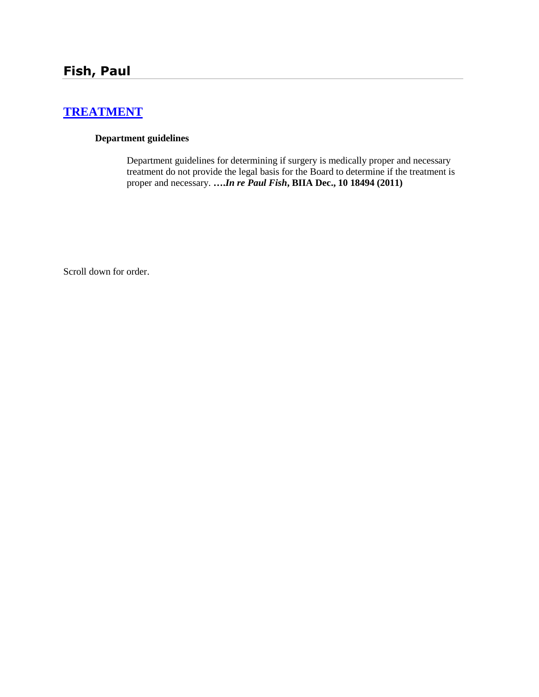# **[TREATMENT](http://www.biia.wa.gov/SDSubjectIndex.html#TREATMENT)**

#### **Department guidelines**

Department guidelines for determining if surgery is medically proper and necessary treatment do not provide the legal basis for the Board to determine if the treatment is proper and necessary. **….***In re Paul Fish***, BIIA Dec., 10 18494 (2011)**

Scroll down for order.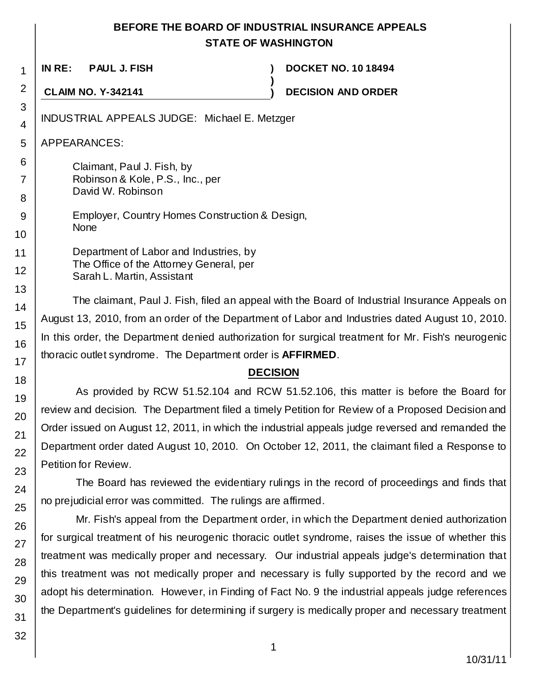## **BEFORE THE BOARD OF INDUSTRIAL INSURANCE APPEALS STATE OF WASHINGTON**

**)**

**IN RE: PAUL J. FISH ) DOCKET NO. 10 18494**

**CLAIM NO. Y-342141 ) DECISION AND ORDER**

INDUSTRIAL APPEALS JUDGE: Michael E. Metzger

APPEARANCES:

Claimant, Paul J. Fish, by Robinson & Kole, P.S., Inc., per David W. Robinson

Employer, Country Homes Construction & Design, None

Department of Labor and Industries, by The Office of the Attorney General, per Sarah L. Martin, Assistant

The claimant, Paul J. Fish, filed an appeal with the Board of Industrial Insurance Appeals on August 13, 2010, from an order of the Department of Labor and Industries dated August 10, 2010. In this order, the Department denied authorization for surgical treatment for Mr. Fish's neurogenic thoracic outlet syndrome. The Department order is **AFFIRMED**.

# **DECISION**

As provided by RCW 51.52.104 and RCW 51.52.106, this matter is before the Board for review and decision. The Department filed a timely Petition for Review of a Proposed Decision and Order issued on August 12, 2011, in which the industrial appeals judge reversed and remanded the Department order dated August 10, 2010. On October 12, 2011, the claimant filed a Response to Petition for Review.

The Board has reviewed the evidentiary rulings in the record of proceedings and finds that no prejudicial error was committed. The rulings are affirmed.

Mr. Fish's appeal from the Department order, in which the Department denied authorization for surgical treatment of his neurogenic thoracic outlet syndrome, raises the issue of whether this treatment was medically proper and necessary. Our industrial appeals judge's determination that this treatment was not medically proper and necessary is fully supported by the record and we adopt his determination. However, in Finding of Fact No. 9 the industrial appeals judge references the Department's guidelines for determining if surgery is medically proper and necessary treatment

1

2

3 4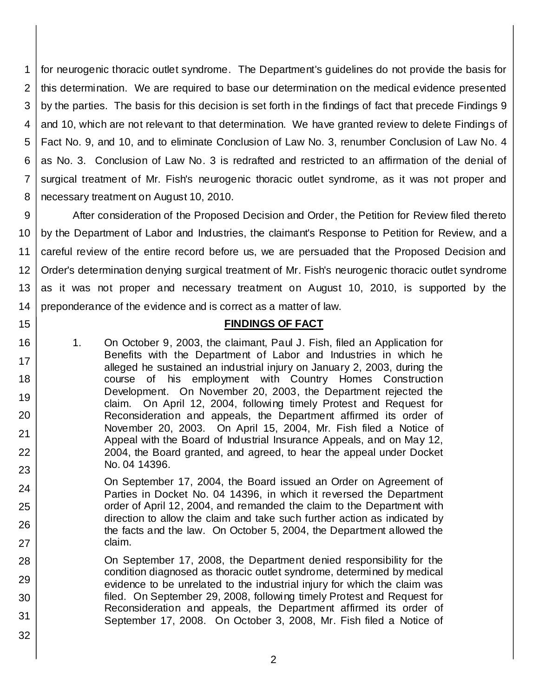1 2 3 4 5 6 7 8 for neurogenic thoracic outlet syndrome. The Department's guidelines do not provide the basis for this determination. We are required to base our determination on the medical evidence presented by the parties. The basis for this decision is set forth in the findings of fact that precede Findings 9 and 10, which are not relevant to that determination. We have granted review to delete Findings of Fact No. 9, and 10, and to eliminate Conclusion of Law No. 3, renumber Conclusion of Law No. 4 as No. 3. Conclusion of Law No. 3 is redrafted and restricted to an affirmation of the denial of surgical treatment of Mr. Fish's neurogenic thoracic outlet syndrome, as it was not proper and necessary treatment on August 10, 2010.

9 10 11 12 13 14 After consideration of the Proposed Decision and Order, the Petition for Review filed thereto by the Department of Labor and Industries, the claimant's Response to Petition for Review, and a careful review of the entire record before us, we are persuaded that the Proposed Decision and Order's determination denying surgical treatment of Mr. Fish's neurogenic thoracic outlet syndrome as it was not proper and necessary treatment on August 10, 2010, is supported by the preponderance of the evidence and is correct as a matter of law.

### **FINDINGS OF FACT**

1. On October 9, 2003, the claimant, Paul J. Fish, filed an Application for Benefits with the Department of Labor and Industries in which he alleged he sustained an industrial injury on January 2, 2003, during the course of his employment with Country Homes Construction Development. On November 20, 2003, the Department rejected the claim. On April 12, 2004, following timely Protest and Request for Reconsideration and appeals, the Department affirmed its order of November 20, 2003. On April 15, 2004, Mr. Fish filed a Notice of Appeal with the Board of Industrial Insurance Appeals, and on May 12, 2004, the Board granted, and agreed, to hear the appeal under Docket No. 04 14396.

15

16

17

18

19

20

21

22

23

24

25

26

27

28

29

30

31

32

On September 17, 2004, the Board issued an Order on Agreement of Parties in Docket No. 04 14396, in which it reversed the Department order of April 12, 2004, and remanded the claim to the Department with direction to allow the claim and take such further action as indicated by the facts and the law. On October 5, 2004, the Department allowed the claim.

On September 17, 2008, the Department denied responsibility for the condition diagnosed as thoracic outlet syndrome, determined by medical evidence to be unrelated to the industrial injury for which the claim was filed. On September 29, 2008, following timely Protest and Request for Reconsideration and appeals, the Department affirmed its order of September 17, 2008. On October 3, 2008, Mr. Fish filed a Notice of

2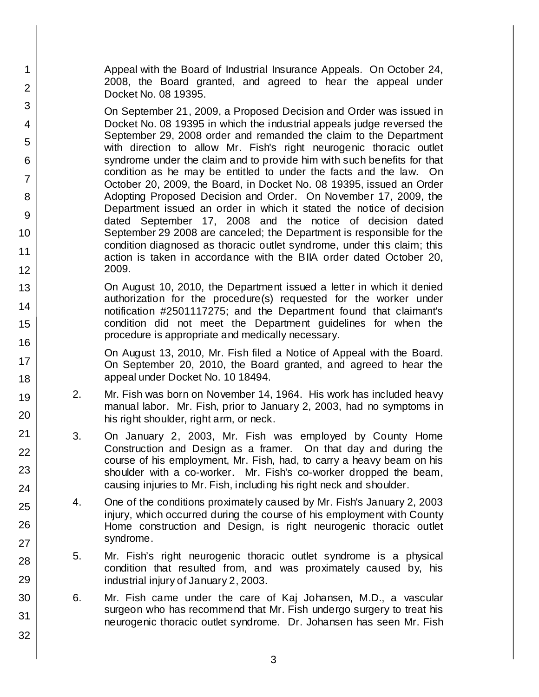Appeal with the Board of Industrial Insurance Appeals. On October 24, 2008, the Board granted, and agreed to hear the appeal under Docket No. 08 19395.

1

2

3

4

5

6

7

8

9

10

11

12

13

14

15

16

17

18

19

20

21

22

23

24

25

26

27

28

29

30

31

32

On September 21, 2009, a Proposed Decision and Order was issued in Docket No. 08 19395 in which the industrial appeals judge reversed the September 29, 2008 order and remanded the claim to the Department with direction to allow Mr. Fish's right neurogenic thoracic outlet syndrome under the claim and to provide him with such benefits for that condition as he may be entitled to under the facts and the law. On October 20, 2009, the Board, in Docket No. 08 19395, issued an Order Adopting Proposed Decision and Order. On November 17, 2009, the Department issued an order in which it stated the notice of decision dated September 17, 2008 and the notice of decision dated September 29 2008 are canceled; the Department is responsible for the condition diagnosed as thoracic outlet syndrome, under this claim; this action is taken in accordance with the BIIA order dated October 20, 2009.

On August 10, 2010, the Department issued a letter in which it denied authorization for the procedure(s) requested for the worker under notification #2501117275; and the Department found that claimant's condition did not meet the Department guidelines for when the procedure is appropriate and medically necessary.

On August 13, 2010, Mr. Fish filed a Notice of Appeal with the Board. On September 20, 2010, the Board granted, and agreed to hear the appeal under Docket No. 10 18494.

- 2. Mr. Fish was born on November 14, 1964. His work has included heavy manual labor. Mr. Fish, prior to January 2, 2003, had no symptoms in his right shoulder, right arm, or neck.
- 3. On January 2, 2003, Mr. Fish was employed by County Home Construction and Design as a framer. On that day and during the course of his employment, Mr. Fish, had, to carry a heavy beam on his shoulder with a co-worker. Mr. Fish's co-worker dropped the beam, causing injuries to Mr. Fish, including his right neck and shoulder.
- 4. One of the conditions proximately caused by Mr. Fish's January 2, 2003 injury, which occurred during the course of his employment with County Home construction and Design, is right neurogenic thoracic outlet syndrome.
- 5. Mr. Fish's right neurogenic thoracic outlet syndrome is a physical condition that resulted from, and was proximately caused by, his industrial injury of January 2, 2003.
- 6. Mr. Fish came under the care of Kaj Johansen, M.D., a vascular surgeon who has recommend that Mr. Fish undergo surgery to treat his neurogenic thoracic outlet syndrome. Dr. Johansen has seen Mr. Fish